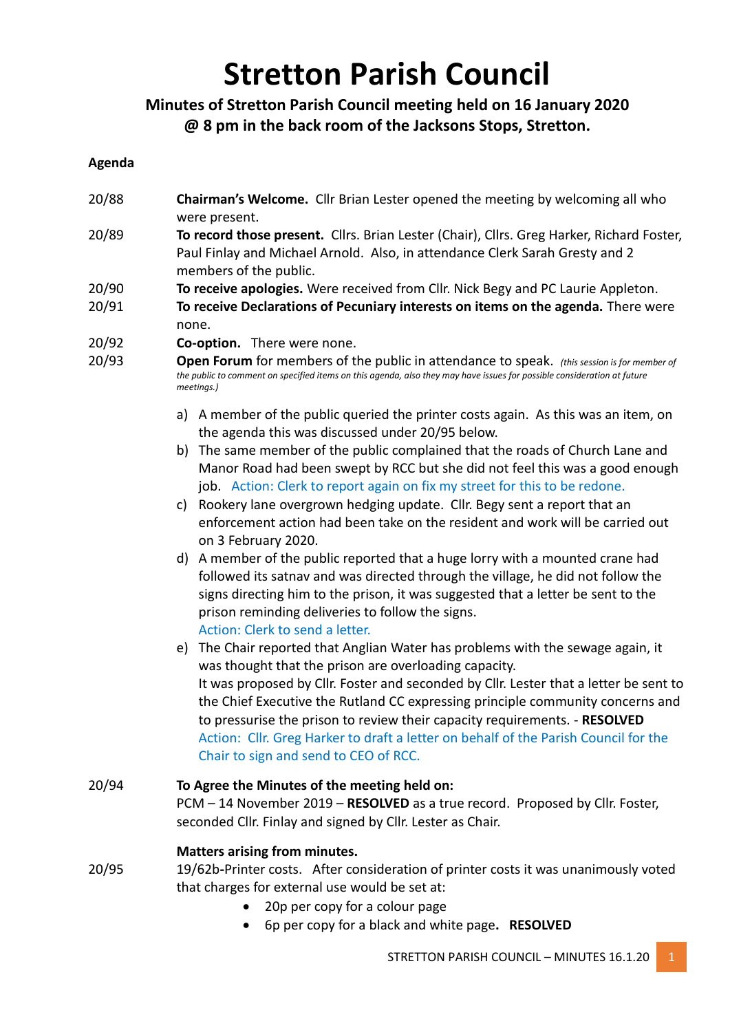# **Stretton Parish Council**

# **Minutes of Stretton Parish Council meeting held on 16 January 2020 @ 8 pm in the back room of the Jacksons Stops, Stretton.**

### **Agenda**

- 20/88 **Chairman's Welcome.** Cllr Brian Lester opened the meeting by welcoming all who were present.
- 20/89 **To record those present.** Cllrs. Brian Lester (Chair), Cllrs. Greg Harker, Richard Foster, Paul Finlay and Michael Arnold. Also, in attendance Clerk Sarah Gresty and 2 members of the public.
- 20/90 **To receive apologies.** Were received from Cllr. Nick Begy and PC Laurie Appleton.
- 20/91 **To receive Declarations of Pecuniary interests on items on the agenda.** There were none.
- 20/92 **Co-option.** There were none.
- 20/93 **Open Forum** for members of the public in attendance to speak. *(this session is for member of the public to comment on specified items on this agenda, also they may have issues for possible consideration at future meetings.)*
	- a) A member of the public queried the printer costs again. As this was an item, on the agenda this was discussed under 20/95 below.
	- b) The same member of the public complained that the roads of Church Lane and Manor Road had been swept by RCC but she did not feel this was a good enough job. Action: Clerk to report again on fix my street for this to be redone.
	- c) Rookery lane overgrown hedging update. Cllr. Begy sent a report that an enforcement action had been take on the resident and work will be carried out on 3 February 2020.
	- d) A member of the public reported that a huge lorry with a mounted crane had followed its satnav and was directed through the village, he did not follow the signs directing him to the prison, it was suggested that a letter be sent to the prison reminding deliveries to follow the signs. Action: Clerk to send a letter.
	- e) The Chair reported that Anglian Water has problems with the sewage again, it was thought that the prison are overloading capacity. It was proposed by Cllr. Foster and seconded by Cllr. Lester that a letter be sent to the Chief Executive the Rutland CC expressing principle community concerns and to pressurise the prison to review their capacity requirements. - **RESOLVED** Action: Cllr. Greg Harker to draft a letter on behalf of the Parish Council for the Chair to sign and send to CEO of RCC.
- 20/94 **To Agree the Minutes of the meeting held on:** PCM – 14 November 2019 – **RESOLVED** as a true record. Proposed by Cllr. Foster, seconded Cllr. Finlay and signed by Cllr. Lester as Chair.

# **Matters arising from minutes.**

- 20/95 19/62b**-**Printer costs. After consideration of printer costs it was unanimously voted that charges for external use would be set at:
	- 20p per copy for a colour page
	- 6p per copy for a black and white page**. RESOLVED**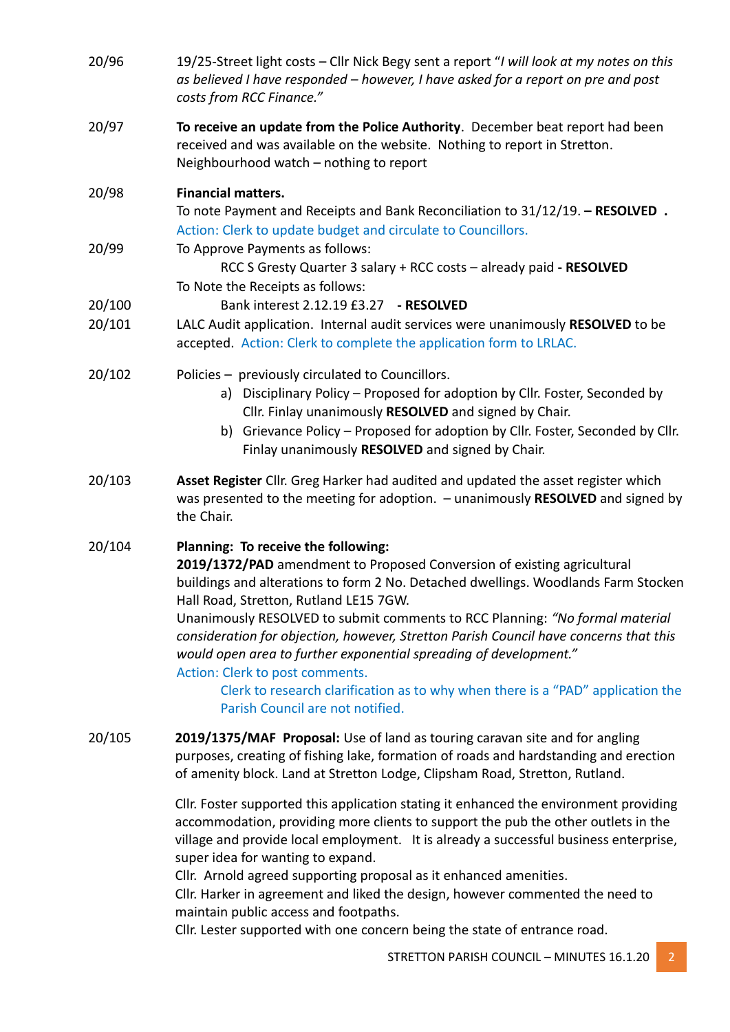| 20/96  | 19/25-Street light costs - Cllr Nick Begy sent a report "I will look at my notes on this<br>as believed I have responded - however, I have asked for a report on pre and post<br>costs from RCC Finance."                                                                                                                                                                                                                                                                                                                                                                                                                                              |
|--------|--------------------------------------------------------------------------------------------------------------------------------------------------------------------------------------------------------------------------------------------------------------------------------------------------------------------------------------------------------------------------------------------------------------------------------------------------------------------------------------------------------------------------------------------------------------------------------------------------------------------------------------------------------|
| 20/97  | To receive an update from the Police Authority. December beat report had been<br>received and was available on the website. Nothing to report in Stretton.<br>Neighbourhood watch - nothing to report                                                                                                                                                                                                                                                                                                                                                                                                                                                  |
| 20/98  | <b>Financial matters.</b><br>To note Payment and Receipts and Bank Reconciliation to 31/12/19. - RESOLVED.<br>Action: Clerk to update budget and circulate to Councillors.                                                                                                                                                                                                                                                                                                                                                                                                                                                                             |
| 20/99  | To Approve Payments as follows:<br>RCC S Gresty Quarter 3 salary + RCC costs - already paid - RESOLVED<br>To Note the Receipts as follows:                                                                                                                                                                                                                                                                                                                                                                                                                                                                                                             |
| 20/100 | Bank interest 2.12.19 £3.27 - RESOLVED                                                                                                                                                                                                                                                                                                                                                                                                                                                                                                                                                                                                                 |
| 20/101 | LALC Audit application. Internal audit services were unanimously RESOLVED to be<br>accepted. Action: Clerk to complete the application form to LRLAC.                                                                                                                                                                                                                                                                                                                                                                                                                                                                                                  |
| 20/102 | Policies - previously circulated to Councillors.<br>a) Disciplinary Policy - Proposed for adoption by Cllr. Foster, Seconded by<br>Cllr. Finlay unanimously RESOLVED and signed by Chair.<br>b) Grievance Policy - Proposed for adoption by Cllr. Foster, Seconded by Cllr.<br>Finlay unanimously RESOLVED and signed by Chair.                                                                                                                                                                                                                                                                                                                        |
| 20/103 | Asset Register Cllr. Greg Harker had audited and updated the asset register which<br>was presented to the meeting for adoption. - unanimously RESOLVED and signed by<br>the Chair.                                                                                                                                                                                                                                                                                                                                                                                                                                                                     |
| 20/104 | Planning: To receive the following:<br>2019/1372/PAD amendment to Proposed Conversion of existing agricultural<br>buildings and alterations to form 2 No. Detached dwellings. Woodlands Farm Stocken<br>Hall Road, Stretton, Rutland LE15 7GW.<br>Unanimously RESOLVED to submit comments to RCC Planning: "No formal material<br>consideration for objection, however, Stretton Parish Council have concerns that this<br>would open area to further exponential spreading of development."<br>Action: Clerk to post comments.<br>Clerk to research clarification as to why when there is a "PAD" application the<br>Parish Council are not notified. |
| 20/105 | 2019/1375/MAF Proposal: Use of land as touring caravan site and for angling<br>purposes, creating of fishing lake, formation of roads and hardstanding and erection<br>of amenity block. Land at Stretton Lodge, Clipsham Road, Stretton, Rutland.                                                                                                                                                                                                                                                                                                                                                                                                     |
|        | Cllr. Foster supported this application stating it enhanced the environment providing<br>accommodation, providing more clients to support the pub the other outlets in the<br>village and provide local employment. It is already a successful business enterprise,<br>super idea for wanting to expand.<br>Cllr. Arnold agreed supporting proposal as it enhanced amenities.<br>Cllr. Harker in agreement and liked the design, however commented the need to                                                                                                                                                                                         |

maintain public access and footpaths.

Cllr. Lester supported with one concern being the state of entrance road.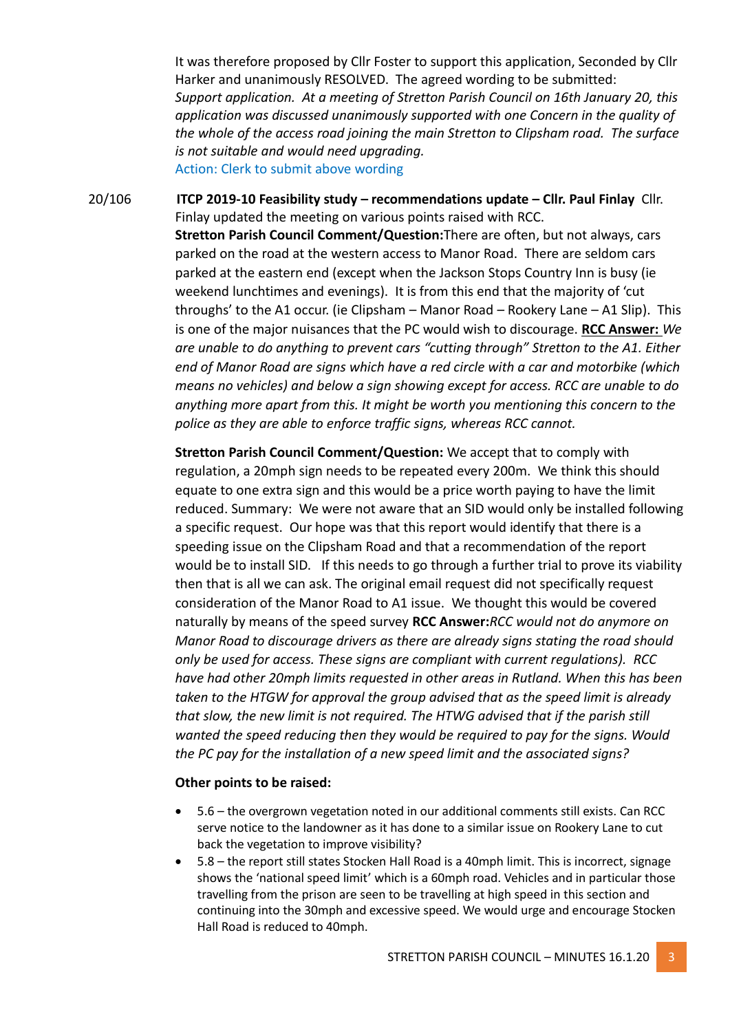It was therefore proposed by Cllr Foster to support this application, Seconded by Cllr Harker and unanimously RESOLVED. The agreed wording to be submitted: *Support application. At a meeting of Stretton Parish Council on 16th January 20, this application was discussed unanimously supported with one Concern in the quality of the whole of the access road joining the main Stretton to Clipsham road. The surface is not suitable and would need upgrading.*

Action: Clerk to submit above wording

20/106 **ITCP 2019-10 Feasibility study – recommendations update – Cllr. Paul Finlay** Cllr. Finlay updated the meeting on various points raised with RCC. **Stretton Parish Council Comment/Question:**There are often, but not always, cars parked on the road at the western access to Manor Road. There are seldom cars parked at the eastern end (except when the Jackson Stops Country Inn is busy (ie weekend lunchtimes and evenings). It is from this end that the majority of 'cut throughs' to the A1 occur. (ie Clipsham – Manor Road – Rookery Lane – A1 Slip). This is one of the major nuisances that the PC would wish to discourage. **RCC Answer:** *We are unable to do anything to prevent cars "cutting through" Stretton to the A1. Either end of Manor Road are signs which have a red circle with a car and motorbike (which means no vehicles) and below a sign showing except for access. RCC are unable to do anything more apart from this. It might be worth you mentioning this concern to the police as they are able to enforce traffic signs, whereas RCC cannot.*

> **Stretton Parish Council Comment/Question:** We accept that to comply with regulation, a 20mph sign needs to be repeated every 200m. We think this should equate to one extra sign and this would be a price worth paying to have the limit reduced. Summary: We were not aware that an SID would only be installed following a specific request. Our hope was that this report would identify that there is a speeding issue on the Clipsham Road and that a recommendation of the report would be to install SID. If this needs to go through a further trial to prove its viability then that is all we can ask. The original email request did not specifically request consideration of the Manor Road to A1 issue. We thought this would be covered naturally by means of the speed survey **RCC Answer:***RCC would not do anymore on Manor Road to discourage drivers as there are already signs stating the road should only be used for access. These signs are compliant with current regulations). RCC have had other 20mph limits requested in other areas in Rutland. When this has been taken to the HTGW for approval the group advised that as the speed limit is already that slow, the new limit is not required. The HTWG advised that if the parish still wanted the speed reducing then they would be required to pay for the signs. Would the PC pay for the installation of a new speed limit and the associated signs?*

#### **Other points to be raised:**

- 5.6 the overgrown vegetation noted in our additional comments still exists. Can RCC serve notice to the landowner as it has done to a similar issue on Rookery Lane to cut back the vegetation to improve visibility?
- 5.8 the report still states Stocken Hall Road is a 40mph limit. This is incorrect, signage shows the 'national speed limit' which is a 60mph road. Vehicles and in particular those travelling from the prison are seen to be travelling at high speed in this section and continuing into the 30mph and excessive speed. We would urge and encourage Stocken Hall Road is reduced to 40mph.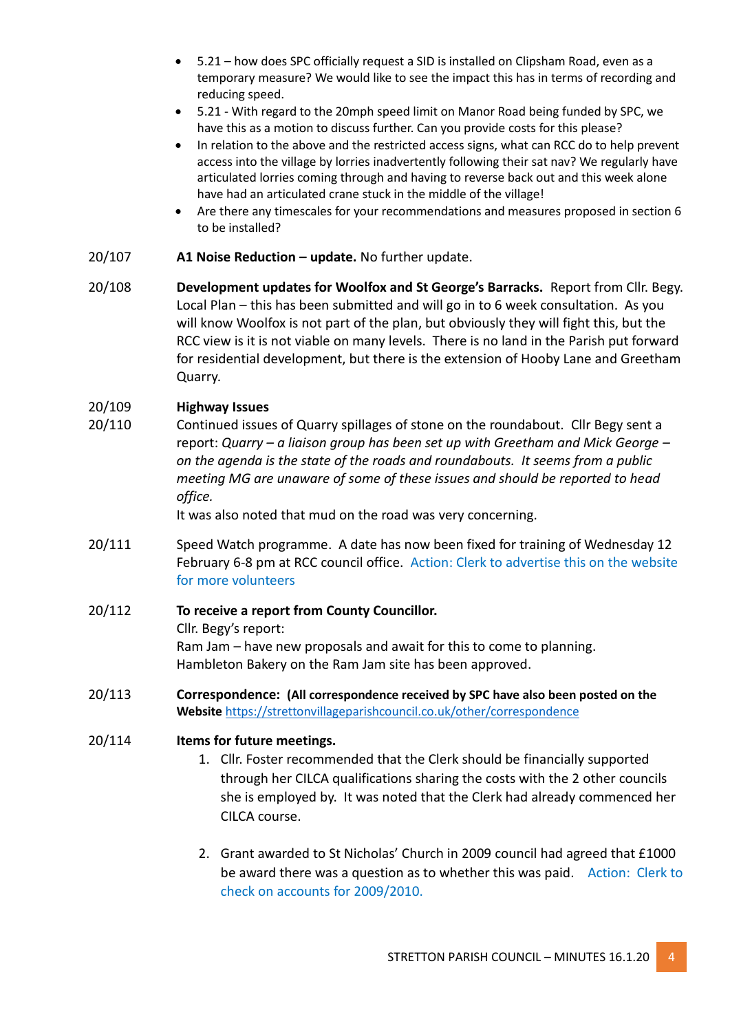- 5.21 how does SPC officially request a SID is installed on Clipsham Road, even as a temporary measure? We would like to see the impact this has in terms of recording and reducing speed.
- 5.21 With regard to the 20mph speed limit on Manor Road being funded by SPC, we have this as a motion to discuss further. Can you provide costs for this please?
- In relation to the above and the restricted access signs, what can RCC do to help prevent access into the village by lorries inadvertently following their sat nav? We regularly have articulated lorries coming through and having to reverse back out and this week alone have had an articulated crane stuck in the middle of the village!
- Are there any timescales for your recommendations and measures proposed in section 6 to be installed?
- 20/107 **A1 Noise Reduction – update.** No further update.
- 20/108 **Development updates for Woolfox and St George's Barracks.** Report from Cllr. Begy. Local Plan – this has been submitted and will go in to 6 week consultation. As you will know Woolfox is not part of the plan, but obviously they will fight this, but the RCC view is it is not viable on many levels. There is no land in the Parish put forward for residential development, but there is the extension of Hooby Lane and Greetham Quarry.

# 20/109 **Highway Issues**

20/110 Continued issues of Quarry spillages of stone on the roundabout. Cllr Begy sent a report: *Quarry – a liaison group has been set up with Greetham and Mick George – on the agenda is the state of the roads and roundabouts. It seems from a public meeting MG are unaware of some of these issues and should be reported to head office.*

It was also noted that mud on the road was very concerning.

- 20/111 Speed Watch programme. A date has now been fixed for training of Wednesday 12 February 6-8 pm at RCC council office. Action: Clerk to advertise this on the website for more volunteers
- 20/112 **To receive a report from County Councillor.** Cllr. Begy's report: Ram Jam – have new proposals and await for this to come to planning. Hambleton Bakery on the Ram Jam site has been approved.
- 20/113 **Correspondence: (All correspondence received by SPC have also been posted on the Website** <https://strettonvillageparishcouncil.co.uk/other/correspondence>

#### 20/114 **Items for future meetings.**

- 1. Cllr. Foster recommended that the Clerk should be financially supported through her CILCA qualifications sharing the costs with the 2 other councils she is employed by. It was noted that the Clerk had already commenced her CILCA course.
- 2. Grant awarded to St Nicholas' Church in 2009 council had agreed that £1000 be award there was a question as to whether this was paid. Action: Clerk to check on accounts for 2009/2010.